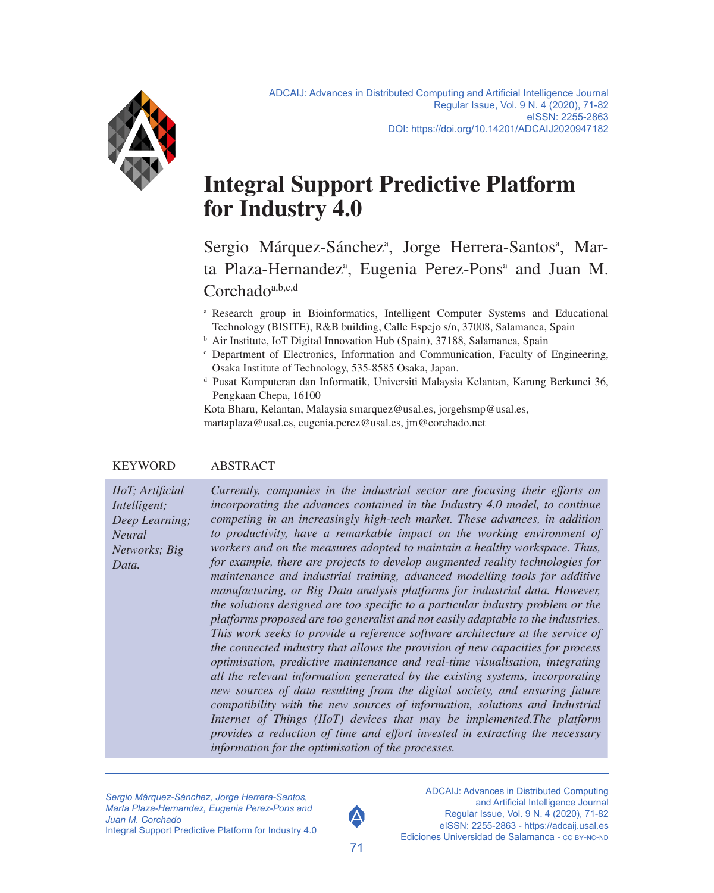

# **Integral Support Predictive Platform for Industry 4.0**

Sergio Márquez-Sánchez<sup>a</sup>, Jorge Herrera-Santos<sup>a</sup>, Marta Plaza-Hernandez<sup>a</sup>, Eugenia Perez-Pons<sup>a</sup> and Juan M. Corchado<sup>a,b,c,d</sup>

- a Research group in Bioinformatics, Intelligent Computer Systems and Educational Technology (BISITE), R&B building, Calle Espejo s/n, 37008, Salamanca, Spain
- <sup>b</sup> Air Institute, IoT Digital Innovation Hub (Spain), 37188, Salamanca, Spain
- c Department of Electronics, Information and Communication, Faculty of Engineering, Osaka Institute of Technology, 535-8585 Osaka, Japan.
- d Pusat Komputeran dan Informatik, Universiti Malaysia Kelantan, Karung Berkunci 36, Pengkaan Chepa, 16100

Kota Bharu, Kelantan, Malaysia [smarquez@usal.es,](mailto:smarquez%40usal.es?subject=) [jorgehsmp@usal.es,](mailto:jorgehsmp%40usal.es?subject=) [martaplaza@usal.es,](mailto:martaplaza%40usal.es?subject=) [eugenia.perez@usal.es,](mailto:eugenia.perez%40usal.es?subject=) [jm@corchado.net](mailto:jm%40corchado.net?subject=)

#### KEYWORD ABSTRACT

*IIoT; Artificial Intelligent; Deep Learning; Neural Networks; Big Data.*

*Currently, companies in the industrial sector are focusing their efforts on incorporating the advances contained in the Industry 4.0 model, to continue competing in an increasingly high-tech market. These advances, in addition to productivity, have a remarkable impact on the working environment of workers and on the measures adopted to maintain a healthy workspace. Thus, for example, there are projects to develop augmented reality technologies for maintenance and industrial training, advanced modelling tools for additive manufacturing, or Big Data analysis platforms for industrial data. However, the solutions designed are too specific to a particular industry problem or the platforms proposed are too generalist and not easily adaptable to the industries. This work seeks to provide a reference software architecture at the service of the connected industry that allows the provision of new capacities for process optimisation, predictive maintenance and real-time visualisation, integrating all the relevant information generated by the existing systems, incorporating new sources of data resulting from the digital society, and ensuring future compatibility with the new sources of information, solutions and Industrial Internet of Things (IIoT) devices that may be implemented.The platform provides a reduction of time and effort invested in extracting the necessary information for the optimisation of the processes.*

*Sergio Márquez-Sánchez, Jorge Herrera-Santos, Marta Plaza-Hernandez, Eugenia Perez-Pons and Juan M. Corchado* Integral Support Predictive Platform for Industry 4.0



ADCAIJ: Advances in Distributed Computing and Artificial Intelligence Journal Regular Issue, Vol. 9 N. 4 (2020), 71-82 eISSN: 2255-2863 -<https://adcaij.usal.es> Ediciones Universidad de Salamanca - CC BY-NC-ND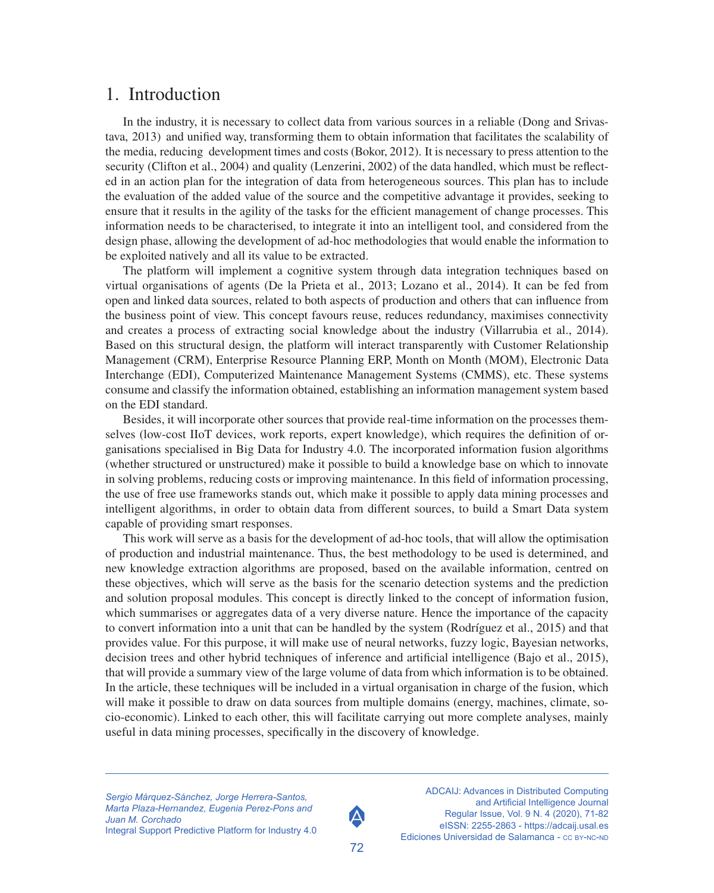#### 1. Introduction

In the industry, it is necessary to collect data from various sources in a reliable (Dong and Srivastava, 2013) and unified way, transforming them to obtain information that facilitates the scalability of the media, reducing development times and costs (Bokor, 2012). It is necessary to press attention to the security (Clifton et al., 2004) and quality (Lenzerini, 2002) of the data handled, which must be reflected in an action plan for the integration of data from heterogeneous sources. This plan has to include the evaluation of the added value of the source and the competitive advantage it provides, seeking to ensure that it results in the agility of the tasks for the efficient management of change processes. This information needs to be characterised, to integrate it into an intelligent tool, and considered from the design phase, allowing the development of ad-hoc methodologies that would enable the information to be exploited natively and all its value to be extracted.

The platform will implement a cognitive system through data integration techniques based on virtual organisations of agents (De la Prieta et al., 2013; Lozano et al., 2014). It can be fed from open and linked data sources, related to both aspects of production and others that can influence from the business point of view. This concept favours reuse, reduces redundancy, maximises connectivity and creates a process of extracting social knowledge about the industry (Villarrubia et al., 2014). Based on this structural design, the platform will interact transparently with Customer Relationship Management (CRM), Enterprise Resource Planning ERP, Month on Month (MOM), Electronic Data Interchange (EDI), Computerized Maintenance Management Systems (CMMS), etc. These systems consume and classify the information obtained, establishing an information management system based on the EDI standard.

Besides, it will incorporate other sources that provide real-time information on the processes themselves (low-cost IIoT devices, work reports, expert knowledge), which requires the definition of organisations specialised in Big Data for Industry 4.0. The incorporated information fusion algorithms (whether structured or unstructured) make it possible to build a knowledge base on which to innovate in solving problems, reducing costs or improving maintenance. In this field of information processing, the use of free use frameworks stands out, which make it possible to apply data mining processes and intelligent algorithms, in order to obtain data from different sources, to build a Smart Data system capable of providing smart responses.

This work will serve as a basis for the development of ad-hoc tools, that will allow the optimisation of production and industrial maintenance. Thus, the best methodology to be used is determined, and new knowledge extraction algorithms are proposed, based on the available information, centred on these objectives, which will serve as the basis for the scenario detection systems and the prediction and solution proposal modules. This concept is directly linked to the concept of information fusion, which summarises or aggregates data of a very diverse nature. Hence the importance of the capacity to convert information into a unit that can be handled by the system (Rodríguez et al., 2015) and that provides value. For this purpose, it will make use of neural networks, fuzzy logic, Bayesian networks, decision trees and other hybrid techniques of inference and artificial intelligence (Bajo et al., 2015), that will provide a summary view of the large volume of data from which information is to be obtained. In the article, these techniques will be included in a virtual organisation in charge of the fusion, which will make it possible to draw on data sources from multiple domains (energy, machines, climate, socio-economic). Linked to each other, this will facilitate carrying out more complete analyses, mainly useful in data mining processes, specifically in the discovery of knowledge.

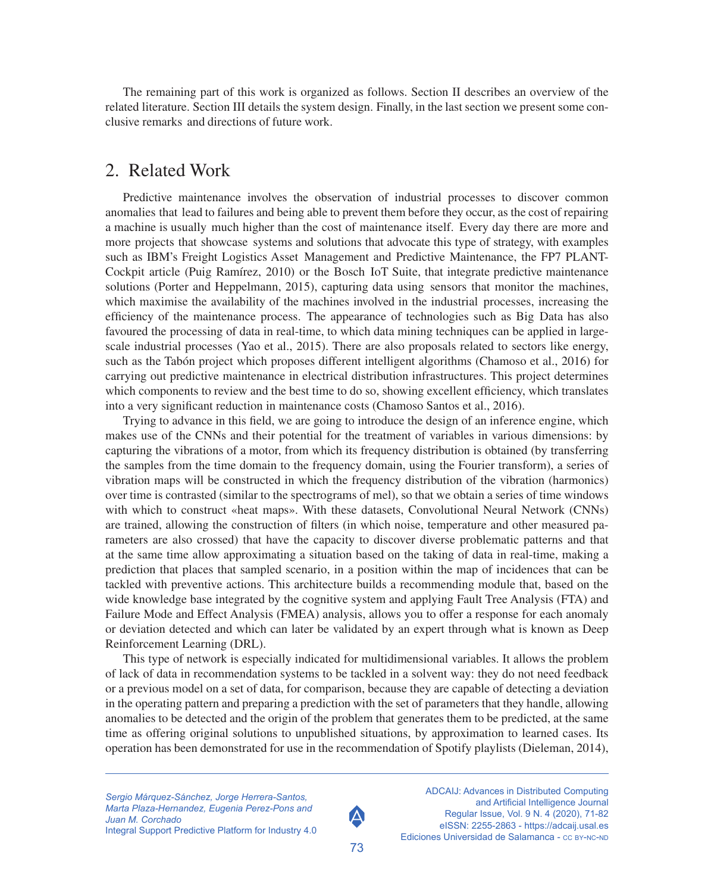The remaining part of this work is organized as follows. Section II describes an overview of the related literature. Section III details the system design. Finally, in the last section we present some conclusive remarks and directions of future work.

#### 2. Related Work

Predictive maintenance involves the observation of industrial processes to discover common anomalies that lead to failures and being able to prevent them before they occur, as the cost of repairing a machine is usually much higher than the cost of maintenance itself. Every day there are more and more projects that showcase systems and solutions that advocate this type of strategy, with examples such as IBM's Freight Logistics Asset Management and Predictive Maintenance, the FP7 PLANT-Cockpit article (Puig Ramírez, 2010) or the Bosch IoT Suite, that integrate predictive maintenance solutions (Porter and Heppelmann, 2015), capturing data using sensors that monitor the machines, which maximise the availability of the machines involved in the industrial processes, increasing the efficiency of the maintenance process. The appearance of technologies such as Big Data has also favoured the processing of data in real-time, to which data mining techniques can be applied in largescale industrial processes (Yao et al., 2015). There are also proposals related to sectors like energy, such as the Tabón project which proposes different intelligent algorithms (Chamoso et al., 2016) for carrying out predictive maintenance in electrical distribution infrastructures. This project determines which components to review and the best time to do so, showing excellent efficiency, which translates into a very significant reduction in maintenance costs (Chamoso Santos et al., 2016).

Trying to advance in this field, we are going to introduce the design of an inference engine, which makes use of the CNNs and their potential for the treatment of variables in various dimensions: by capturing the vibrations of a motor, from which its frequency distribution is obtained (by transferring the samples from the time domain to the frequency domain, using the Fourier transform), a series of vibration maps will be constructed in which the frequency distribution of the vibration (harmonics) over time is contrasted (similar to the spectrograms of mel), so that we obtain a series of time windows with which to construct «heat maps». With these datasets, Convolutional Neural Network (CNNs) are trained, allowing the construction of filters (in which noise, temperature and other measured parameters are also crossed) that have the capacity to discover diverse problematic patterns and that at the same time allow approximating a situation based on the taking of data in real-time, making a prediction that places that sampled scenario, in a position within the map of incidences that can be tackled with preventive actions. This architecture builds a recommending module that, based on the wide knowledge base integrated by the cognitive system and applying Fault Tree Analysis (FTA) and Failure Mode and Effect Analysis (FMEA) analysis, allows you to offer a response for each anomaly or deviation detected and which can later be validated by an expert through what is known as Deep Reinforcement Learning (DRL).

This type of network is especially indicated for multidimensional variables. It allows the problem of lack of data in recommendation systems to be tackled in a solvent way: they do not need feedback or a previous model on a set of data, for comparison, because they are capable of detecting a deviation in the operating pattern and preparing a prediction with the set of parameters that they handle, allowing anomalies to be detected and the origin of the problem that generates them to be predicted, at the same time as offering original solutions to unpublished situations, by approximation to learned cases. Its operation has been demonstrated for use in the recommendation of Spotify playlists (Dieleman, 2014),

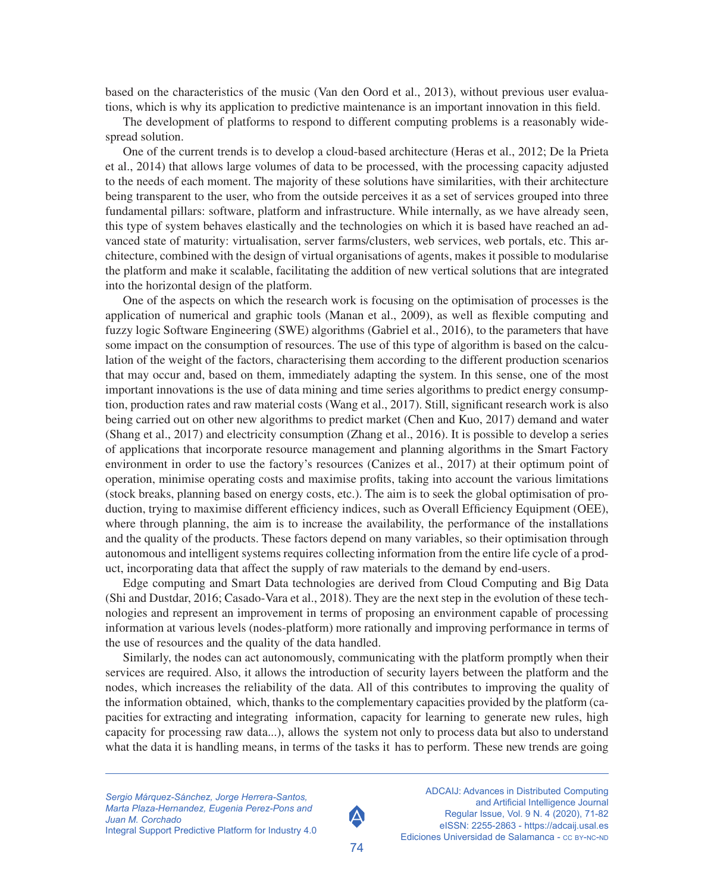based on the characteristics of the music (Van den Oord et al., 2013), without previous user evaluations, which is why its application to predictive maintenance is an important innovation in this field.

The development of platforms to respond to different computing problems is a reasonably widespread solution.

One of the current trends is to develop a cloud-based architecture (Heras et al., 2012; De la Prieta et al., 2014) that allows large volumes of data to be processed, with the processing capacity adjusted to the needs of each moment. The majority of these solutions have similarities, with their architecture being transparent to the user, who from the outside perceives it as a set of services grouped into three fundamental pillars: software, platform and infrastructure. While internally, as we have already seen, this type of system behaves elastically and the technologies on which it is based have reached an advanced state of maturity: virtualisation, server farms/clusters, web services, web portals, etc. This architecture, combined with the design of virtual organisations of agents, makes it possible to modularise the platform and make it scalable, facilitating the addition of new vertical solutions that are integrated into the horizontal design of the platform.

One of the aspects on which the research work is focusing on the optimisation of processes is the application of numerical and graphic tools (Manan et al., 2009), as well as flexible computing and fuzzy logic Software Engineering (SWE) algorithms (Gabriel et al., 2016), to the parameters that have some impact on the consumption of resources. The use of this type of algorithm is based on the calculation of the weight of the factors, characterising them according to the different production scenarios that may occur and, based on them, immediately adapting the system. In this sense, one of the most important innovations is the use of data mining and time series algorithms to predict energy consumption, production rates and raw material costs (Wang et al., 2017). Still, significant research work is also being carried out on other new algorithms to predict market (Chen and Kuo, 2017) demand and water (Shang et al., 2017) and electricity consumption (Zhang et al., 2016). It is possible to develop a series of applications that incorporate resource management and planning algorithms in the Smart Factory environment in order to use the factory's resources (Canizes et al., 2017) at their optimum point of operation, minimise operating costs and maximise profits, taking into account the various limitations (stock breaks, planning based on energy costs, etc.). The aim is to seek the global optimisation of production, trying to maximise different efficiency indices, such as Overall Efficiency Equipment (OEE), where through planning, the aim is to increase the availability, the performance of the installations and the quality of the products. These factors depend on many variables, so their optimisation through autonomous and intelligent systems requires collecting information from the entire life cycle of a product, incorporating data that affect the supply of raw materials to the demand by end-users.

Edge computing and Smart Data technologies are derived from Cloud Computing and Big Data (Shi and Dustdar, 2016; Casado-Vara et al., 2018). They are the next step in the evolution of these technologies and represent an improvement in terms of proposing an environment capable of processing information at various levels (nodes-platform) more rationally and improving performance in terms of the use of resources and the quality of the data handled.

Similarly, the nodes can act autonomously, communicating with the platform promptly when their services are required. Also, it allows the introduction of security layers between the platform and the nodes, which increases the reliability of the data. All of this contributes to improving the quality of the information obtained, which, thanks to the complementary capacities provided by the platform (capacities for extracting and integrating information, capacity for learning to generate new rules, high capacity for processing raw data...), allows the system not only to process data but also to understand what the data it is handling means, in terms of the tasks it has to perform. These new trends are going

*Sergio Márquez-Sánchez, Jorge Herrera-Santos, Marta Plaza-Hernandez, Eugenia Perez-Pons and Juan M. Corchado* Integral Support Predictive Platform for Industry 4.0

74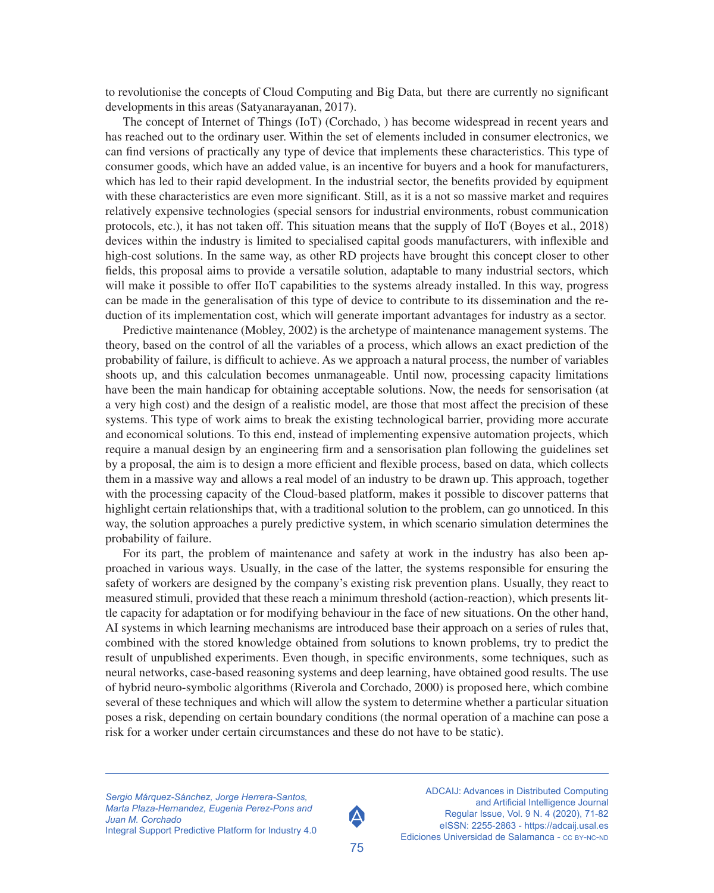to revolutionise the concepts of Cloud Computing and Big Data, but there are currently no significant developments in this areas (Satyanarayanan, 2017).

The concept of Internet of Things (IoT) (Corchado, ) has become widespread in recent years and has reached out to the ordinary user. Within the set of elements included in consumer electronics, we can find versions of practically any type of device that implements these characteristics. This type of consumer goods, which have an added value, is an incentive for buyers and a hook for manufacturers, which has led to their rapid development. In the industrial sector, the benefits provided by equipment with these characteristics are even more significant. Still, as it is a not so massive market and requires relatively expensive technologies (special sensors for industrial environments, robust communication protocols, etc.), it has not taken off. This situation means that the supply of IIoT (Boyes et al., 2018) devices within the industry is limited to specialised capital goods manufacturers, with inflexible and high-cost solutions. In the same way, as other RD projects have brought this concept closer to other fields, this proposal aims to provide a versatile solution, adaptable to many industrial sectors, which will make it possible to offer IIoT capabilities to the systems already installed. In this way, progress can be made in the generalisation of this type of device to contribute to its dissemination and the reduction of its implementation cost, which will generate important advantages for industry as a sector.

Predictive maintenance (Mobley, 2002) is the archetype of maintenance management systems. The theory, based on the control of all the variables of a process, which allows an exact prediction of the probability of failure, is difficult to achieve. As we approach a natural process, the number of variables shoots up, and this calculation becomes unmanageable. Until now, processing capacity limitations have been the main handicap for obtaining acceptable solutions. Now, the needs for sensorisation (at a very high cost) and the design of a realistic model, are those that most affect the precision of these systems. This type of work aims to break the existing technological barrier, providing more accurate and economical solutions. To this end, instead of implementing expensive automation projects, which require a manual design by an engineering firm and a sensorisation plan following the guidelines set by a proposal, the aim is to design a more efficient and flexible process, based on data, which collects them in a massive way and allows a real model of an industry to be drawn up. This approach, together with the processing capacity of the Cloud-based platform, makes it possible to discover patterns that highlight certain relationships that, with a traditional solution to the problem, can go unnoticed. In this way, the solution approaches a purely predictive system, in which scenario simulation determines the probability of failure.

For its part, the problem of maintenance and safety at work in the industry has also been approached in various ways. Usually, in the case of the latter, the systems responsible for ensuring the safety of workers are designed by the company's existing risk prevention plans. Usually, they react to measured stimuli, provided that these reach a minimum threshold (action-reaction), which presents little capacity for adaptation or for modifying behaviour in the face of new situations. On the other hand, AI systems in which learning mechanisms are introduced base their approach on a series of rules that, combined with the stored knowledge obtained from solutions to known problems, try to predict the result of unpublished experiments. Even though, in specific environments, some techniques, such as neural networks, case-based reasoning systems and deep learning, have obtained good results. The use of hybrid neuro-symbolic algorithms (Riverola and Corchado, 2000) is proposed here, which combine several of these techniques and which will allow the system to determine whether a particular situation poses a risk, depending on certain boundary conditions (the normal operation of a machine can pose a risk for a worker under certain circumstances and these do not have to be static).

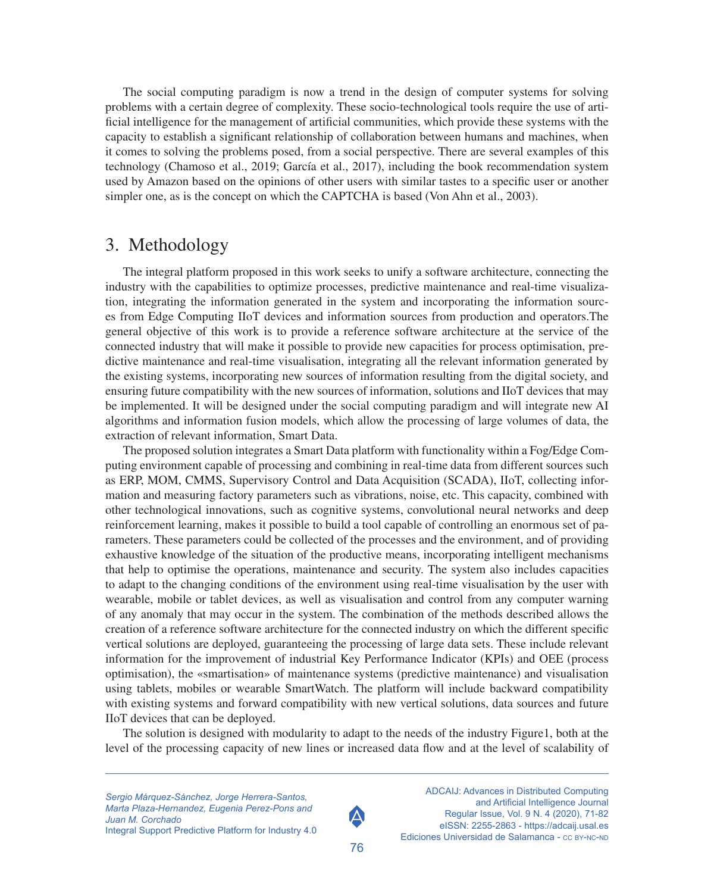The social computing paradigm is now a trend in the design of computer systems for solving problems with a certain degree of complexity. These socio-technological tools require the use of artificial intelligence for the management of artificial communities, which provide these systems with the capacity to establish a significant relationship of collaboration between humans and machines, when it comes to solving the problems posed, from a social perspective. There are several examples of this technology (Chamoso et al., 2019; García et al., 2017), including the book recommendation system used by Amazon based on the opinions of other users with similar tastes to a specific user or another simpler one, as is the concept on which the CAPTCHA is based (Von Ahn et al., 2003).

#### 3. Methodology

The integral platform proposed in this work seeks to unify a software architecture, connecting the industry with the capabilities to optimize processes, predictive maintenance and real-time visualization, integrating the information generated in the system and incorporating the information sources from Edge Computing IIoT devices and information sources from production and operators.The general objective of this work is to provide a reference software architecture at the service of the connected industry that will make it possible to provide new capacities for process optimisation, predictive maintenance and real-time visualisation, integrating all the relevant information generated by the existing systems, incorporating new sources of information resulting from the digital society, and ensuring future compatibility with the new sources of information, solutions and IIoT devices that may be implemented. It will be designed under the social computing paradigm and will integrate new AI algorithms and information fusion models, which allow the processing of large volumes of data, the extraction of relevant information, Smart Data.

The proposed solution integrates a Smart Data platform with functionality within a Fog/Edge Computing environment capable of processing and combining in real-time data from different sources such as ERP, MOM, CMMS, Supervisory Control and Data Acquisition (SCADA), IIoT, collecting information and measuring factory parameters such as vibrations, noise, etc. This capacity, combined with other technological innovations, such as cognitive systems, convolutional neural networks and deep reinforcement learning, makes it possible to build a tool capable of controlling an enormous set of parameters. These parameters could be collected of the processes and the environment, and of providing exhaustive knowledge of the situation of the productive means, incorporating intelligent mechanisms that help to optimise the operations, maintenance and security. The system also includes capacities to adapt to the changing conditions of the environment using real-time visualisation by the user with wearable, mobile or tablet devices, as well as visualisation and control from any computer warning of any anomaly that may occur in the system. The combination of the methods described allows the creation of a reference software architecture for the connected industry on which the different specific vertical solutions are deployed, guaranteeing the processing of large data sets. These include relevant information for the improvement of industrial Key Performance Indicator (KPIs) and OEE (process optimisation), the «smartisation» of maintenance systems (predictive maintenance) and visualisation using tablets, mobiles or wearable SmartWatch. The platform will include backward compatibility with existing systems and forward compatibility with new vertical solutions, data sources and future IIoT devices that can be deployed.

The solution is designed with modularity to adapt to the needs of the industry Figure1, both at the level of the processing capacity of new lines or increased data flow and at the level of scalability of

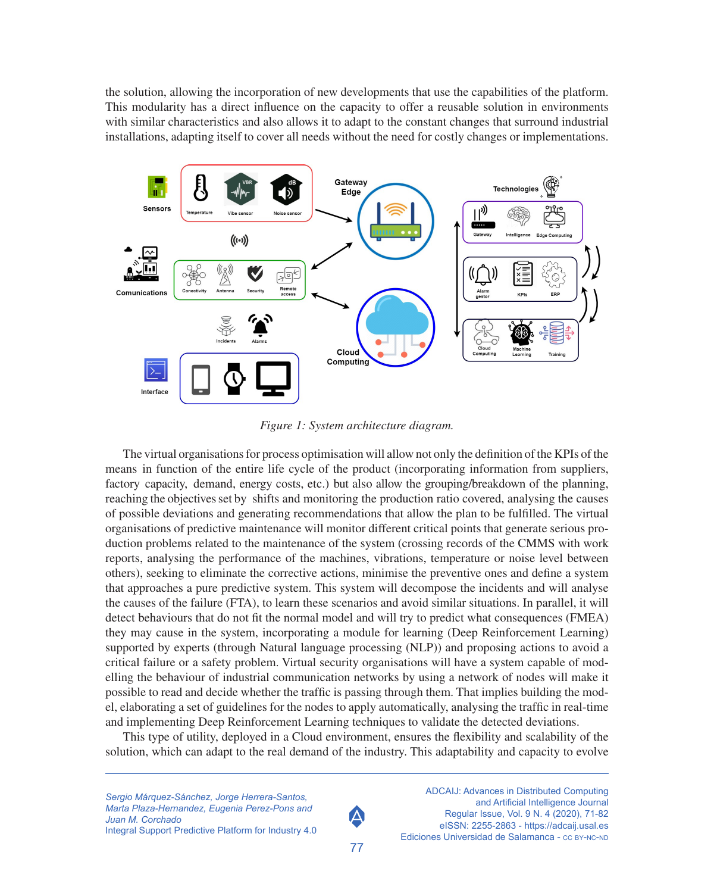the solution, allowing the incorporation of new developments that use the capabilities of the platform. This modularity has a direct influence on the capacity to offer a reusable solution in environments with similar characteristics and also allows it to adapt to the constant changes that surround industrial installations, adapting itself to cover all needs without the need for costly changes or implementations.



*Figure 1: System architecture diagram.*

The virtual organisations for process optimisation will allow not only the definition of the KPIs of the means in function of the entire life cycle of the product (incorporating information from suppliers, factory capacity, demand, energy costs, etc.) but also allow the grouping/breakdown of the planning, reaching the objectives set by shifts and monitoring the production ratio covered, analysing the causes of possible deviations and generating recommendations that allow the plan to be fulfilled. The virtual organisations of predictive maintenance will monitor different critical points that generate serious production problems related to the maintenance of the system (crossing records of the CMMS with work reports, analysing the performance of the machines, vibrations, temperature or noise level between others), seeking to eliminate the corrective actions, minimise the preventive ones and define a system that approaches a pure predictive system. This system will decompose the incidents and will analyse the causes of the failure (FTA), to learn these scenarios and avoid similar situations. In parallel, it will detect behaviours that do not fit the normal model and will try to predict what consequences (FMEA) they may cause in the system, incorporating a module for learning (Deep Reinforcement Learning) supported by experts (through Natural language processing (NLP)) and proposing actions to avoid a critical failure or a safety problem. Virtual security organisations will have a system capable of modelling the behaviour of industrial communication networks by using a network of nodes will make it possible to read and decide whether the traffic is passing through them. That implies building the model, elaborating a set of guidelines for the nodes to apply automatically, analysing the traffic in real-time and implementing Deep Reinforcement Learning techniques to validate the detected deviations.

This type of utility, deployed in a Cloud environment, ensures the flexibility and scalability of the solution, which can adapt to the real demand of the industry. This adaptability and capacity to evolve

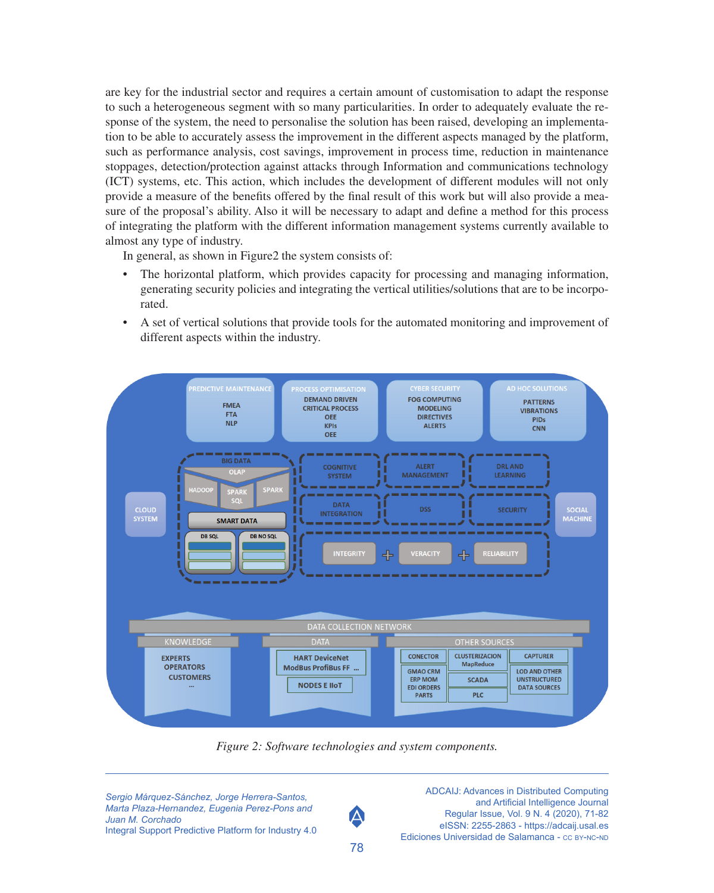are key for the industrial sector and requires a certain amount of customisation to adapt the response to such a heterogeneous segment with so many particularities. In order to adequately evaluate the response of the system, the need to personalise the solution has been raised, developing an implementation to be able to accurately assess the improvement in the different aspects managed by the platform, such as performance analysis, cost savings, improvement in process time, reduction in maintenance stoppages, detection/protection against attacks through Information and communications technology (ICT) systems, etc. This action, which includes the development of different modules will not only provide a measure of the benefits offered by the final result of this work but will also provide a measure of the proposal's ability. Also it will be necessary to adapt and define a method for this process of integrating the platform with the different information management systems currently available to almost any type of industry.

In general, as shown in Figure2 the system consists of:

- The horizontal platform, which provides capacity for processing and managing information, generating security policies and integrating the vertical utilities/solutions that are to be incorporated.
- A set of vertical solutions that provide tools for the automated monitoring and improvement of different aspects within the industry.



*Figure 2: Software technologies and system components.*

*Sergio Márquez-Sánchez, Jorge Herrera-Santos, Marta Plaza-Hernandez, Eugenia Perez-Pons and Juan M. Corchado* Integral Support Predictive Platform for Industry 4.0



ADCAIJ: Advances in Distributed Computing and Artificial Intelligence Journal Regular Issue, Vol. 9 N. 4 (2020), 71-82 eISSN: 2255-2863 -<https://adcaij.usal.es> Ediciones Universidad de Salamanca - CC BY-NC-ND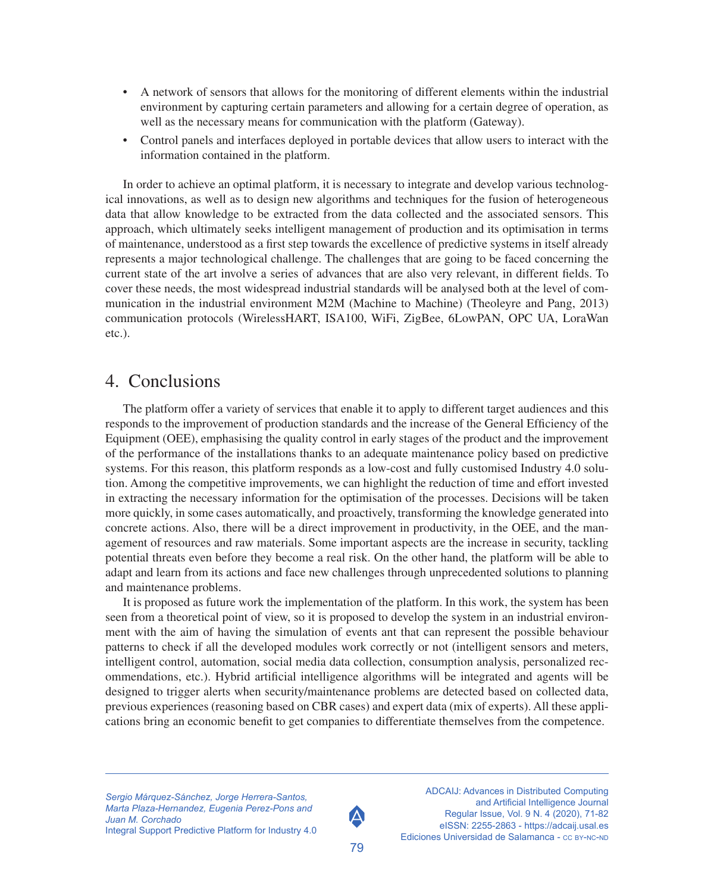- A network of sensors that allows for the monitoring of different elements within the industrial environment by capturing certain parameters and allowing for a certain degree of operation, as well as the necessary means for communication with the platform (Gateway).
- Control panels and interfaces deployed in portable devices that allow users to interact with the information contained in the platform.

In order to achieve an optimal platform, it is necessary to integrate and develop various technological innovations, as well as to design new algorithms and techniques for the fusion of heterogeneous data that allow knowledge to be extracted from the data collected and the associated sensors. This approach, which ultimately seeks intelligent management of production and its optimisation in terms of maintenance, understood as a first step towards the excellence of predictive systems in itself already represents a major technological challenge. The challenges that are going to be faced concerning the current state of the art involve a series of advances that are also very relevant, in different fields. To cover these needs, the most widespread industrial standards will be analysed both at the level of communication in the industrial environment M2M (Machine to Machine) (Theoleyre and Pang, 2013) communication protocols (WirelessHART, ISA100, WiFi, ZigBee, 6LowPAN, OPC UA, LoraWan etc.).

### 4. Conclusions

The platform offer a variety of services that enable it to apply to different target audiences and this responds to the improvement of production standards and the increase of the General Efficiency of the Equipment (OEE), emphasising the quality control in early stages of the product and the improvement of the performance of the installations thanks to an adequate maintenance policy based on predictive systems. For this reason, this platform responds as a low-cost and fully customised Industry 4.0 solution. Among the competitive improvements, we can highlight the reduction of time and effort invested in extracting the necessary information for the optimisation of the processes. Decisions will be taken more quickly, in some cases automatically, and proactively, transforming the knowledge generated into concrete actions. Also, there will be a direct improvement in productivity, in the OEE, and the management of resources and raw materials. Some important aspects are the increase in security, tackling potential threats even before they become a real risk. On the other hand, the platform will be able to adapt and learn from its actions and face new challenges through unprecedented solutions to planning and maintenance problems.

It is proposed as future work the implementation of the platform. In this work, the system has been seen from a theoretical point of view, so it is proposed to develop the system in an industrial environment with the aim of having the simulation of events ant that can represent the possible behaviour patterns to check if all the developed modules work correctly or not (intelligent sensors and meters, intelligent control, automation, social media data collection, consumption analysis, personalized recommendations, etc.). Hybrid artificial intelligence algorithms will be integrated and agents will be designed to trigger alerts when security/maintenance problems are detected based on collected data, previous experiences (reasoning based on CBR cases) and expert data (mix of experts). All these applications bring an economic benefit to get companies to differentiate themselves from the competence.

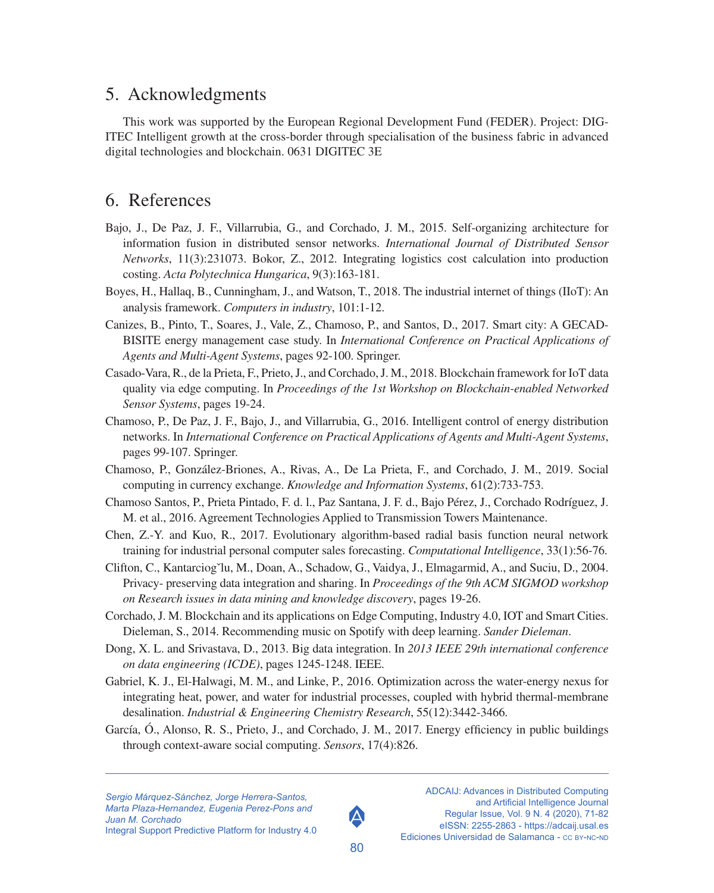## 5. Acknowledgments

This work was supported by the European Regional Development Fund (FEDER). Project: DIG-ITEC Intelligent growth at the cross-border through specialisation of the business fabric in advanced digital technologies and blockchain. 0631 DIGITEC 3E

# 6. References

- Bajo, J., De Paz, J. F., Villarrubia, G., and Corchado, J. M., 2015. Self-organizing architecture for information fusion in distributed sensor networks. *International Journal of Distributed Sensor Networks*, 11(3):231073. Bokor, Z., 2012. Integrating logistics cost calculation into production costing. *Acta Polytechnica Hungarica*, 9(3):163-181.
- Boyes, H., Hallaq, B., Cunningham, J., and Watson, T., 2018. The industrial internet of things (IIoT): An analysis framework. *Computers in industry*, 101:1-12.
- Canizes, B., Pinto, T., Soares, J., Vale, Z., Chamoso, P., and Santos, D., 2017. Smart city: A GECAD-BISITE energy management case study. In *International Conference on Practical Applications of Agents and Multi-Agent Systems*, pages 92-100. Springer.
- Casado-Vara, R., de la Prieta, F., Prieto, J., and Corchado, J. M., 2018. Blockchain framework for IoT data quality via edge computing. In *Proceedings of the 1st Workshop on Blockchain-enabled Networked Sensor Systems*, pages 19-24.
- Chamoso, P., De Paz, J. F., Bajo, J., and Villarrubia, G., 2016. Intelligent control of energy distribution networks. In *International Conference on Practical Applications of Agents and Multi-Agent Systems*, pages 99-107. Springer.
- Chamoso, P., González-Briones, A., Rivas, A., De La Prieta, F., and Corchado, J. M., 2019. Social computing in currency exchange. *Knowledge and Information Systems*, 61(2):733-753.
- Chamoso Santos, P., Prieta Pintado, F. d. l., Paz Santana, J. F. d., Bajo Pérez, J., Corchado Rodríguez, J. M. et al., 2016. Agreement Technologies Applied to Transmission Towers Maintenance.
- Chen, Z.-Y. and Kuo, R., 2017. Evolutionary algorithm-based radial basis function neural network training for industrial personal computer sales forecasting. *Computational Intelligence*, 33(1):56-76.
- Clifton, C., Kantarciog<sup>x</sup>lu, M., Doan, A., Schadow, G., Vaidya, J., Elmagarmid, A., and Suciu, D., 2004. Privacy- preserving data integration and sharing. In *Proceedings of the 9th ACM SIGMOD workshop on Research issues in data mining and knowledge discovery*, pages 19-26.
- Corchado, J. M. Blockchain and its applications on Edge Computing, Industry 4.0, IOT and Smart Cities. Dieleman, S., 2014. Recommending music on Spotify with deep learning. *Sander Dieleman*.
- Dong, X. L. and Srivastava, D., 2013. Big data integration. In *2013 IEEE 29th international conference on data engineering (ICDE)*, pages 1245-1248. IEEE.
- Gabriel, K. J., El-Halwagi, M. M., and Linke, P., 2016. Optimization across the water-energy nexus for integrating heat, power, and water for industrial processes, coupled with hybrid thermal-membrane desalination. *Industrial & Engineering Chemistry Research*, 55(12):3442-3466.
- García, Ó., Alonso, R. S., Prieto, J., and Corchado, J. M., 2017. Energy efficiency in public buildings through context-aware social computing. *Sensors*, 17(4):826.



80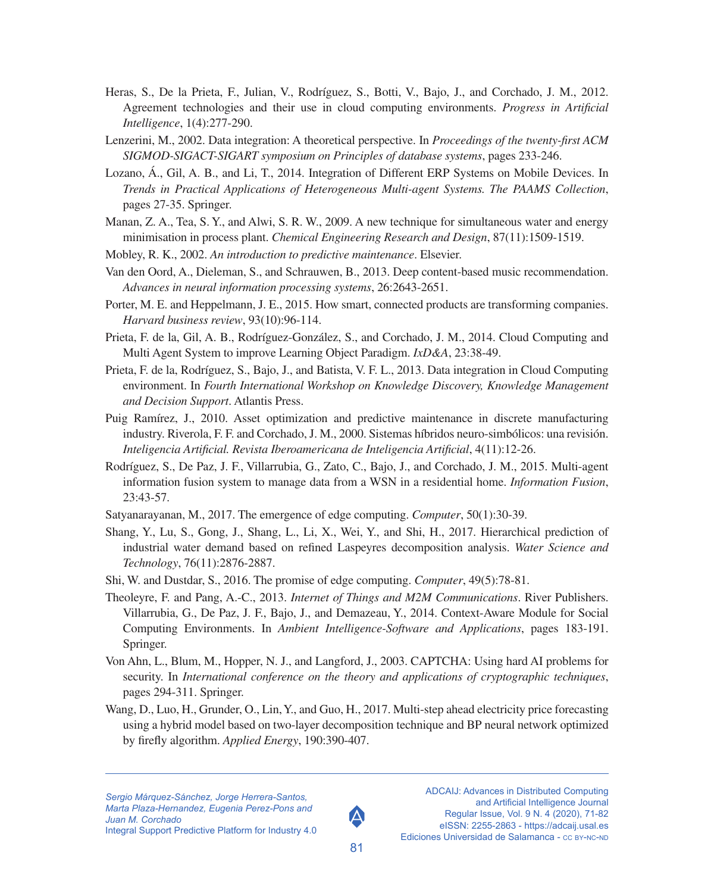- Heras, S., De la Prieta, F., Julian, V., Rodríguez, S., Botti, V., Bajo, J., and Corchado, J. M., 2012. Agreement technologies and their use in cloud computing environments. *Progress in Artificial Intelligence*, 1(4):277-290.
- Lenzerini, M., 2002. Data integration: A theoretical perspective. In *Proceedings of the twenty-first ACM SIGMOD-SIGACT-SIGART symposium on Principles of database systems*, pages 233-246.
- Lozano, Á., Gil, A. B., and Li, T., 2014. Integration of Different ERP Systems on Mobile Devices. In *Trends in Practical Applications of Heterogeneous Multi-agent Systems. The PAAMS Collection*, pages 27-35. Springer.
- Manan, Z. A., Tea, S. Y., and Alwi, S. R. W., 2009. A new technique for simultaneous water and energy minimisation in process plant. *Chemical Engineering Research and Design*, 87(11):1509-1519.
- Mobley, R. K., 2002. *An introduction to predictive maintenance*. Elsevier.
- Van den Oord, A., Dieleman, S., and Schrauwen, B., 2013. Deep content-based music recommendation. *Advances in neural information processing systems*, 26:2643-2651.
- Porter, M. E. and Heppelmann, J. E., 2015. How smart, connected products are transforming companies. *Harvard business review*, 93(10):96-114.
- Prieta, F. de la, Gil, A. B., Rodríguez-González, S., and Corchado, J. M., 2014. Cloud Computing and Multi Agent System to improve Learning Object Paradigm. *IxD&A*, 23:38-49.
- Prieta, F. de la, Rodríguez, S., Bajo, J., and Batista, V. F. L., 2013. Data integration in Cloud Computing environment. In *Fourth International Workshop on Knowledge Discovery, Knowledge Management and Decision Support*. Atlantis Press.
- Puig Ramírez, J., 2010. Asset optimization and predictive maintenance in discrete manufacturing industry. Riverola, F. F. and Corchado, J. M., 2000. Sistemas híbridos neuro-simbólicos: una revisión. *Inteligencia Artificial. Revista Iberoamericana de Inteligencia Artificial*, 4(11):12-26.
- Rodríguez, S., De Paz, J. F., Villarrubia, G., Zato, C., Bajo, J., and Corchado, J. M., 2015. Multi-agent information fusion system to manage data from a WSN in a residential home. *Information Fusion*, 23:43-57.
- Satyanarayanan, M., 2017. The emergence of edge computing. *Computer*, 50(1):30-39.
- Shang, Y., Lu, S., Gong, J., Shang, L., Li, X., Wei, Y., and Shi, H., 2017. Hierarchical prediction of industrial water demand based on refined Laspeyres decomposition analysis. *Water Science and Technology*, 76(11):2876-2887.
- Shi, W. and Dustdar, S., 2016. The promise of edge computing. *Computer*, 49(5):78-81.
- Theoleyre, F. and Pang, A.-C., 2013. *Internet of Things and M2M Communications*. River Publishers. Villarrubia, G., De Paz, J. F., Bajo, J., and Demazeau, Y., 2014. Context-Aware Module for Social Computing Environments. In *Ambient Intelligence-Software and Applications*, pages 183-191. Springer.
- Von Ahn, L., Blum, M., Hopper, N. J., and Langford, J., 2003. CAPTCHA: Using hard AI problems for security. In *International conference on the theory and applications of cryptographic techniques*, pages 294-311. Springer.
- Wang, D., Luo, H., Grunder, O., Lin, Y., and Guo, H., 2017. Multi-step ahead electricity price forecasting using a hybrid model based on two-layer decomposition technique and BP neural network optimized by firefly algorithm. *Applied Energy*, 190:390-407.